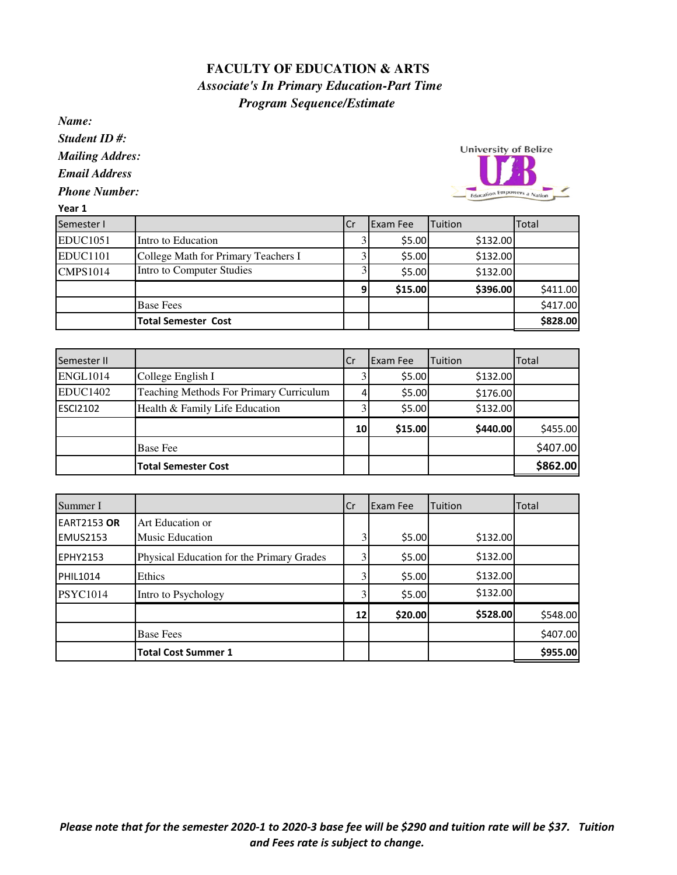## **FACULTY OF EDUCATION & ARTS**  *Associate's In Primary Education-Part Time Program Sequence/Estimate*

*Name:*

Year 1

*Student ID #:*

*Mailing Addres:*

*Email Address*

*Phone Number:*



| Semester I      |                                     | .Cr | Exam Fee | Tuition  | Total    |
|-----------------|-------------------------------------|-----|----------|----------|----------|
| <b>EDUC1051</b> | Intro to Education                  |     | \$5.00   | \$132.00 |          |
| <b>EDUC1101</b> | College Math for Primary Teachers I |     | \$5.00   | \$132.00 |          |
| <b>CMPS1014</b> | Intro to Computer Studies           |     | \$5.00   | \$132.00 |          |
|                 |                                     | 9   | \$15.00  | \$396.00 | \$411.00 |
|                 | <b>Base Fees</b>                    |     |          |          | \$417.00 |
|                 | <b>Total Semester Cost</b>          |     |          |          | \$828.00 |

| Semester II     |                                         | ICr             | <b>Exam Fee</b> | Tuition  | Total    |
|-----------------|-----------------------------------------|-----------------|-----------------|----------|----------|
| <b>ENGL1014</b> | College English I                       |                 | \$5.00          | \$132.00 |          |
| <b>EDUC1402</b> | Teaching Methods For Primary Curriculum |                 | \$5.00          | \$176.00 |          |
| <b>ESCI2102</b> | Health & Family Life Education          |                 | \$5.00          | \$132.00 |          |
|                 |                                         | 10 <sup>1</sup> | \$15.00         | \$440.00 | \$455.00 |
|                 | <b>Base Fee</b>                         |                 |                 |          | \$407.00 |
|                 | <b>Total Semester Cost</b>              |                 |                 |          | \$862.00 |

| Summer I                              |                                            | <b>ICr</b>      | Exam Fee | Tuition  | Total    |
|---------------------------------------|--------------------------------------------|-----------------|----------|----------|----------|
| <b>EART2153 OR</b><br><b>EMUS2153</b> | Art Education or<br><b>Music Education</b> | 3               | \$5.00   | \$132.00 |          |
| <b>EPHY2153</b>                       | Physical Education for the Primary Grades  |                 | \$5.00   | \$132.00 |          |
| PHIL1014                              | Ethics                                     |                 | \$5.00   | \$132.00 |          |
| <b>PSYC1014</b>                       | Intro to Psychology                        |                 | \$5.00   | \$132.00 |          |
|                                       |                                            | 12 <sub>1</sub> | \$20.00  | \$528.00 | \$548.00 |
|                                       | <b>Base Fees</b>                           |                 |          |          | \$407.00 |
|                                       | <b>Total Cost Summer 1</b>                 |                 |          |          | \$955.00 |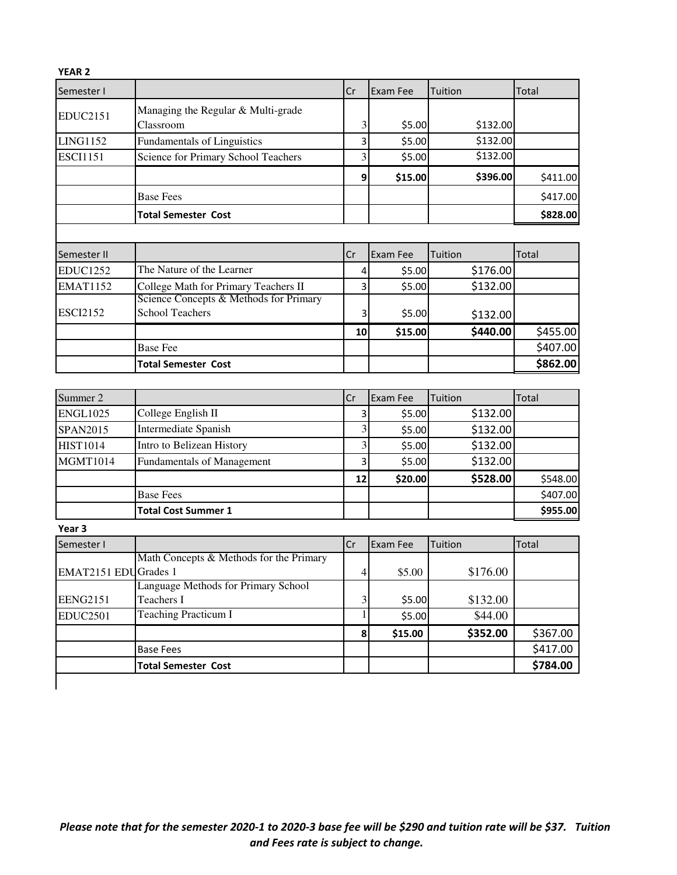| <b>YEAR 2</b>   |                                        |    |          |          |              |
|-----------------|----------------------------------------|----|----------|----------|--------------|
| Semester I      |                                        | Cr | Exam Fee | Tuition  | Total        |
| <b>EDUC2151</b> | Managing the Regular & Multi-grade     |    |          |          |              |
|                 | Classroom                              | 3  | \$5.00   | \$132.00 |              |
| <b>LING1152</b> | Fundamentals of Linguistics            | 3  | \$5.00   | \$132.00 |              |
| <b>ESCI1151</b> | Science for Primary School Teachers    | 3  | \$5.00   | \$132.00 |              |
|                 |                                        | 9  | \$15.00  | \$396.00 | \$411.00     |
|                 | <b>Base Fees</b>                       |    |          |          | \$417.00     |
|                 | <b>Total Semester Cost</b>             |    |          |          | \$828.00     |
|                 |                                        |    |          |          |              |
| Semester II     |                                        | Cr | Exam Fee | Tuition  | Total        |
| <b>EDUC1252</b> | The Nature of the Learner              | 4  | \$5.00   | \$176.00 |              |
| <b>EMAT1152</b> | College Math for Primary Teachers II   | 3  | \$5.00   | \$132.00 |              |
|                 | Science Concepts & Methods for Primary |    |          |          |              |
| <b>ESCI2152</b> | <b>School Teachers</b>                 | 3  | \$5.00   | \$132.00 |              |
|                 |                                        | 10 | \$15.00  | \$440.00 | \$455.00     |
|                 | <b>Base Fee</b>                        |    |          |          | \$407.00     |
|                 | <b>Total Semester Cost</b>             |    |          |          | \$862.00     |
|                 |                                        |    |          |          |              |
| Summer 2        |                                        | Cr | Exam Fee | Tuition  | <b>Total</b> |
| <b>ENGL1025</b> | College English II                     | 3  | \$5.00   | \$132.00 |              |
| <b>SPAN2015</b> | Intermediate Spanish                   | 3  | \$5.00   | \$132.00 |              |
| <b>HIST1014</b> | Intro to Belizean History              | 3  | \$5.00   | \$132.00 |              |
| <b>MGMT1014</b> | <b>Fundamentals of Management</b>      | 3  | \$5.00   | \$132.00 |              |
|                 |                                        | 12 | \$20.00  | \$528.00 | \$548.00     |

|                      | <b>Base Fees</b>                        |     |                 |          | \$407.00 |
|----------------------|-----------------------------------------|-----|-----------------|----------|----------|
|                      | <b>Total Cost Summer 1</b>              |     |                 |          | \$955.00 |
| Year 3               |                                         |     |                 |          |          |
| Semester I           |                                         | .Cr | <b>Exam Fee</b> | Tuition  | Total    |
|                      | Math Concepts & Methods for the Primary |     |                 |          |          |
| EMAT2151 EDUGrades 1 |                                         | 4   | \$5.00          | \$176.00 |          |
|                      | Language Methods for Primary School     |     |                 |          |          |
| <b>EENG2151</b>      | Teachers I                              | 3   | \$5.00          | \$132.00 |          |
| <b>EDUC2501</b>      | <b>Teaching Practicum I</b>             |     | \$5.00          | \$44.00  |          |

Base Fees **below that the set of the set of the set of the set of the set of the set of the set of the set of the set of the set of the set of the set of the set of the set of the set of the set of the set of the set of th** Total Semester Cost **1** | | | | | | | | | | | | \$784.00

 $8 \mid$  \$15.00 \$352.00 \$367.00